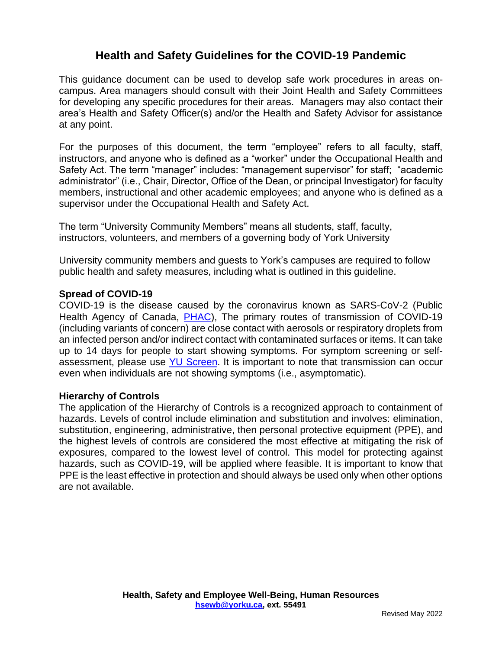# **Health and Safety Guidelines for the COVID-19 Pandemic**

This guidance document can be used to develop safe work procedures in areas oncampus. Area managers should consult with their Joint Health and Safety Committees for developing any specific procedures for their areas. Managers may also contact their area's Health and Safety Officer(s) and/or the Health and Safety Advisor for assistance at any point.

For the purposes of this document, the term "employee" refers to all faculty, staff, instructors, and anyone who is defined as a "worker" under the Occupational Health and Safety Act. The term "manager" includes: "management supervisor" for staff; "academic administrator" (i.e., Chair, Director, Office of the Dean, or principal Investigator) for faculty members, instructional and other academic employees; and anyone who is defined as a supervisor under the Occupational Health and Safety Act.

The term "University Community Members" means all students, staff, faculty, instructors, volunteers, and members of a governing body of York University

University community members and guests to York's campuses are required to follow public health and safety measures, including what is outlined in this guideline.

#### **Spread of COVID-19**

COVID-19 is the disease caused by the coronavirus known as SARS-CoV-2 (Public Health Agency of Canada, [PHAC\)](https://www.canada.ca/en/public-health/services/diseases/2019-novel-coronavirus-infection/prevention-risks.html), The primary routes of transmission of COVID-19 (including variants of concern) are close contact with aerosols or respiratory droplets from an infected person and/or indirect contact with contaminated surfaces or items. It can take up to 14 days for people to start showing symptoms. For symptom screening or selfassessment, please use [YU Screen.](https://yorku.ubixhealth.com/login) It is important to note that transmission can occur even when individuals are not showing symptoms (i.e., asymptomatic).

#### **Hierarchy of Controls**

The application of the Hierarchy of Controls is a recognized approach to containment of hazards. Levels of control include elimination and substitution and involves: elimination, substitution, engineering, administrative, then personal protective equipment (PPE), and the highest levels of controls are considered the most effective at mitigating the risk of exposures, compared to the lowest level of control. This model for protecting against hazards, such as COVID-19, will be applied where feasible. It is important to know that PPE is the least effective in protection and should always be used only when other options are not available.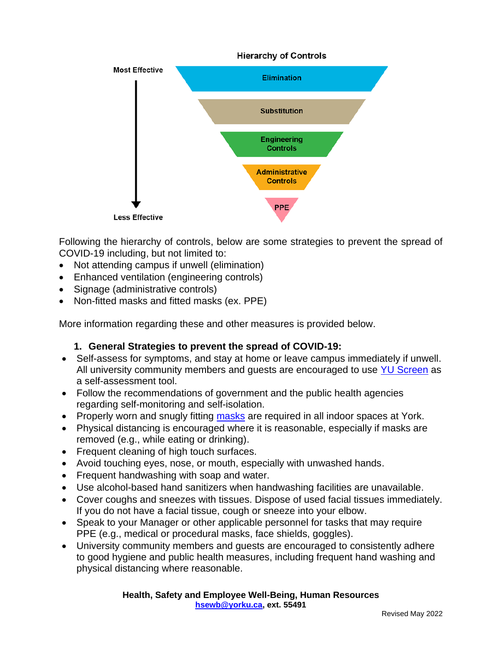

Following the hierarchy of controls, below are some strategies to prevent the spread of COVID-19 including, but not limited to:

- Not attending campus if unwell (elimination)
- Enhanced ventilation (engineering controls)
- Signage (administrative controls)
- Non-fitted masks and fitted masks (ex. PPE)

More information regarding these and other measures is provided below.

#### **1. General Strategies to prevent the spread of COVID-19:**

- Self-assess for symptoms, and stay at home or leave campus immediately if unwell. All university community members and quests are encouraged to use [YU Screen](https://yorku.ubixhealth.com/login) as a self-assessment tool.
- Follow the recommendations of government and the public health agencies regarding self-monitoring and self-isolation.
- Properly worn and snugly fitting [masks](https://www.yorku.ca/bettertogether/wp-content/uploads/sites/299/2022/04/2022-April_YorkUniversityMaskProtocolV11-Final-EN.pdf) are required in all indoor spaces at York.
- Physical distancing is encouraged where it is reasonable, especially if masks are removed (e.g., while eating or drinking).
- Frequent cleaning of high touch surfaces.
- Avoid touching eyes, nose, or mouth, especially with unwashed hands.
- Frequent handwashing with soap and water.
- Use alcohol-based hand sanitizers when handwashing facilities are unavailable.
- Cover coughs and sneezes with tissues. Dispose of used facial tissues immediately. If you do not have a facial tissue, cough or sneeze into your elbow.
- Speak to your Manager or other applicable personnel for tasks that may require PPE (e.g., medical or procedural masks, face shields, goggles).
- University community members and guests are encouraged to consistently adhere to good hygiene and public health measures, including frequent hand washing and physical distancing where reasonable.

**Health, Safety and Employee Well-Being, Human Resources [hsewb@yorku.ca,](mailto:hsewb@yorku.ca) ext. 55491**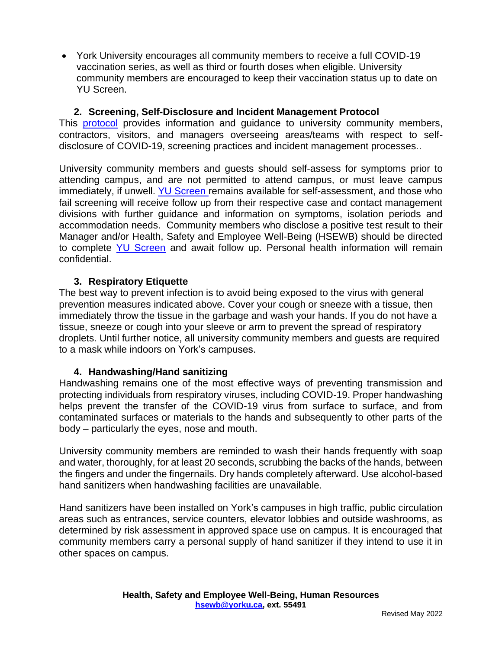• York University encourages all community members to receive a full COVID-19 vaccination series, as well as third or fourth doses when eligible. University community members are encouraged to keep their vaccination status up to date on YU Screen.

## **2. Screening, Self-Disclosure and Incident Management Protocol**

This **[protocol](https://www.yorku.ca/bettertogether/wp-content/uploads/sites/299/2022/01/2022-Jan-11-YorkU-Self-Disclosure-Screening-and-Incident-Management-Protocol-V2.pdf)** provides information and guidance to university community members, contractors, visitors, and managers overseeing areas/teams with respect to selfdisclosure of COVID-19, screening practices and incident management processes..

University community members and [guests](https://www.yorku.ca/bettertogether/wp-content/uploads/sites/299/2021/12/COVID-19-Protocol-for-HS-Information-for-non-contractor-guests.pdf) should self-assess for symptoms prior to attending campus, and are not permitted to attend campus, or must leave campus immediately, if unwell. [YU Screen](https://yorku.ubixhealth.com/) remains available for self-assessment, and those who fail screening will receive follow up from their respective case and contact management divisions with further guidance and information on symptoms, isolation periods and accommodation needs. Community members who disclose a positive test result to their Manager and/or Health, Safety and Employee Well-Being (HSEWB) should be directed to complete [YU Screen](https://yorku.ubixhealth.com/login) and await follow up. Personal health information will remain confidential.

#### **3. Respiratory Etiquette**

The best way to prevent infection is to avoid being exposed to the virus with general prevention measures indicated above. Cover your cough or sneeze with a tissue, then immediately throw the tissue in the garbage and wash your hands. If you do not have a tissue, sneeze or cough into your sleeve or arm to prevent the spread of respiratory droplets. Until further notice, all university community members and guests are required to a mask while indoors on York's campuses.

#### **4. Handwashing/Hand sanitizing**

Handwashing remains one of the most effective ways of preventing transmission and protecting individuals from respiratory viruses, including COVID-19. Proper handwashing helps prevent the transfer of the COVID-19 virus from surface to surface, and from contaminated surfaces or materials to the hands and subsequently to other parts of the body – particularly the eyes, nose and mouth.

University community members are reminded to wash their hands frequently with soap and water, thoroughly, for at least 20 seconds, scrubbing the backs of the hands, between the fingers and under the fingernails. Dry hands completely afterward. Use alcohol-based hand sanitizers when handwashing facilities are unavailable.

Hand sanitizers have been installed on York's campuses in high traffic, public circulation areas such as entrances, service counters, elevator lobbies and outside washrooms, as determined by risk assessment in approved space use on campus. It is encouraged that community members carry a personal supply of hand sanitizer if they intend to use it in other spaces on campus.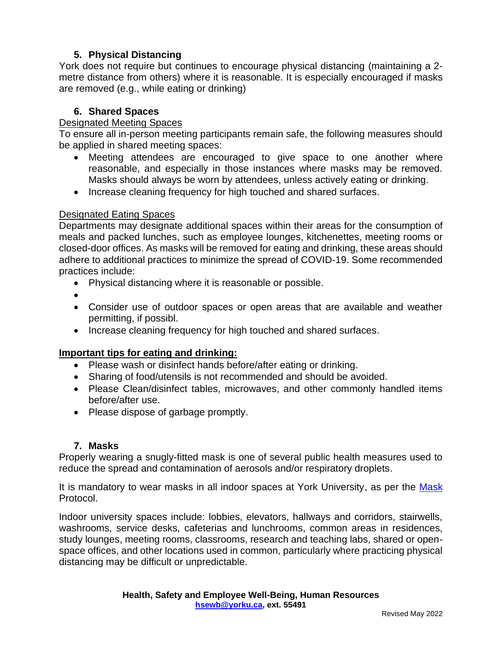# **5. Physical Distancing**

York does not require but continues to encourage physical distancing (maintaining a 2 metre distance from others) where it is reasonable. It is especially encouraged if masks are removed (e.g., while eating or drinking)

## **6. Shared Spaces**

### Designated Meeting Spaces

To ensure all in-person meeting participants remain safe, the following measures should be applied in shared meeting spaces:

- Meeting attendees are encouraged to give space to one another where reasonable, and especially in those instances where masks may be removed. Masks should always be worn by attendees, unless actively eating or drinking.
- Increase cleaning frequency for high touched and shared surfaces.

#### Designated Eating Spaces

Departments may designate additional spaces within their areas for the consumption of meals and packed lunches, such as employee lounges, kitchenettes, meeting rooms or closed-door offices. As masks will be removed for eating and drinking, these areas should adhere to additional practices to minimize the spread of COVID-19. Some recommended practices include:

- Physical distancing where it is reasonable or possible.
- •
- Consider use of outdoor spaces or open areas that are available and weather permitting, if possibl.
- Increase cleaning frequency for high touched and shared surfaces.

# **Important tips for eating and drinking:**

- Please wash or disinfect hands before/after eating or drinking.
- Sharing of food/utensils is not recommended and should be avoided.
- Please Clean/disinfect tables, microwaves, and other commonly handled items before/after use.
- Please dispose of garbage promptly.

#### **7. Masks**

Properly wearing a snugly-fitted mask is one of several public health measures used to reduce the spread and contamination of aerosols and/or respiratory droplets.

It is mandatory to wear masks in all indoor spaces at York University, as per the [Mask](https://www.yorku.ca/bettertogether/wp-content/uploads/sites/299/2022/04/2022-April_YorkUniversityMaskProtocolV11-Final-EN.pdf) Protocol.

Indoor university spaces include: lobbies, elevators, hallways and corridors, stairwells, washrooms, service desks, cafeterias and lunchrooms, common areas in residences, study lounges, meeting rooms, classrooms, research and teaching labs, shared or openspace offices, and other locations used in common, particularly where practicing physical distancing may be difficult or unpredictable.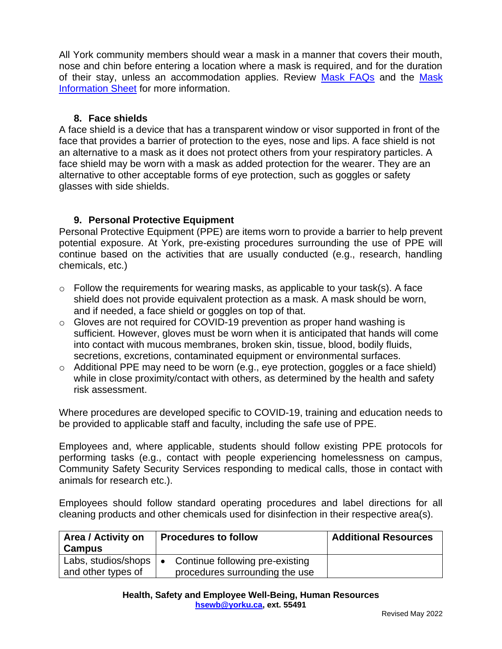All York community members should wear a mask in a manner that covers their mouth, nose and chin before entering a location where a mask is required, and for the duration of their stay, unless an accommodation applies. Review [Mask FAQs](https://www.yorku.ca/bettertogether/wp-content/uploads/sites/299/2022/03/2022-March_YorkUniversityMaskFAQs-Final-EN.pdf) and the Mask [Information Sheet](https://www.yorku.ca/bettertogether/wp-content/uploads/sites/299/2022/03/2022-March_YorkUniversityMaskInformationSheetV15-Final-EN.pdf) for more information.

### **8. Face shields**

A face shield is a device that has a transparent window or visor supported in front of the face that provides a barrier of protection to the eyes, nose and lips. A face shield is not an alternative to a mask as it does not protect others from your respiratory particles. A face shield may be worn with a mask as added protection for the wearer. They are an alternative to other acceptable forms of eye protection, such as goggles or safety glasses with side shields.

# **9. Personal Protective Equipment**

Personal Protective Equipment (PPE) are items worn to provide a barrier to help prevent potential exposure. At York, pre-existing procedures surrounding the use of PPE will continue based on the activities that are usually conducted (e.g., research, handling chemicals, etc.)

- $\circ$  Follow the requirements for wearing masks, as applicable to your task(s). A face shield does not provide equivalent protection as a mask. A mask should be worn, and if needed, a face shield or goggles on top of that.
- o Gloves are not required for COVID-19 prevention as proper hand washing is sufficient. However, gloves must be worn when it is anticipated that hands will come into contact with mucous membranes, broken skin, tissue, blood, bodily fluids, secretions, excretions, contaminated equipment or environmental surfaces.
- o Additional PPE may need to be worn (e.g., eye protection, goggles or a face shield) while in close proximity/contact with others, as determined by the health and safety risk assessment.

Where procedures are developed specific to COVID-19, training and education needs to be provided to applicable staff and faculty, including the safe use of PPE.

Employees and, where applicable, students should follow existing PPE protocols for performing tasks (e.g., contact with people experiencing homelessness on campus, Community Safety Security Services responding to medical calls, those in contact with animals for research etc.).

Employees should follow standard operating procedures and label directions for all cleaning products and other chemicals used for disinfection in their respective area(s).

| Area / Activity on<br><b>Campus</b>       | <b>Procedures to follow</b>                                                    | <b>Additional Resources</b> |
|-------------------------------------------|--------------------------------------------------------------------------------|-----------------------------|
| Labs, studios/shops<br>and other types of | Continue following pre-existing<br>$\bullet$<br>procedures surrounding the use |                             |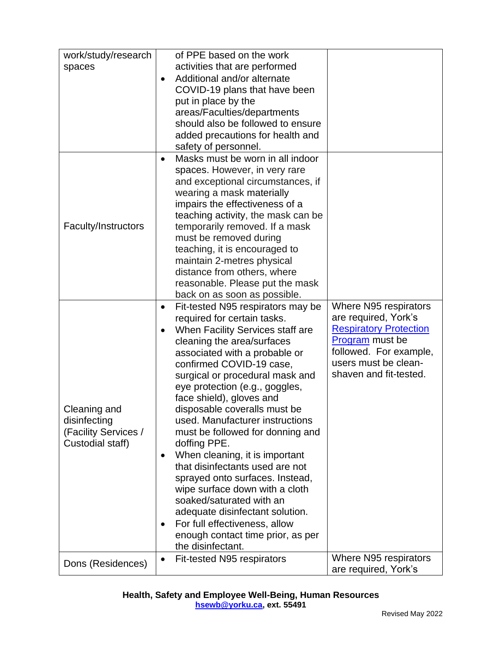| work/study/research  | of PPE based on the work                                    |                               |
|----------------------|-------------------------------------------------------------|-------------------------------|
| spaces               | activities that are performed                               |                               |
|                      | Additional and/or alternate<br>$\bullet$                    |                               |
|                      | COVID-19 plans that have been                               |                               |
|                      | put in place by the                                         |                               |
|                      | areas/Faculties/departments                                 |                               |
|                      | should also be followed to ensure                           |                               |
|                      | added precautions for health and                            |                               |
|                      | safety of personnel.                                        |                               |
|                      | Masks must be worn in all indoor<br>٠                       |                               |
|                      | spaces. However, in very rare                               |                               |
|                      | and exceptional circumstances, if                           |                               |
|                      | wearing a mask materially                                   |                               |
|                      | impairs the effectiveness of a                              |                               |
|                      | teaching activity, the mask can be                          |                               |
| Faculty/Instructors  | temporarily removed. If a mask                              |                               |
|                      | must be removed during                                      |                               |
|                      | teaching, it is encouraged to<br>maintain 2-metres physical |                               |
|                      | distance from others, where                                 |                               |
|                      | reasonable. Please put the mask                             |                               |
|                      | back on as soon as possible.                                |                               |
|                      | Fit-tested N95 respirators may be<br>٠                      | Where N95 respirators         |
|                      | required for certain tasks.                                 | are required, York's          |
|                      | When Facility Services staff are<br>$\bullet$               | <b>Respiratory Protection</b> |
|                      | cleaning the area/surfaces                                  | <b>Program</b> must be        |
|                      | associated with a probable or                               | followed. For example,        |
|                      | confirmed COVID-19 case,                                    | users must be clean-          |
|                      | surgical or procedural mask and                             | shaven and fit-tested.        |
|                      | eye protection (e.g., goggles,                              |                               |
|                      | face shield), gloves and                                    |                               |
| Cleaning and         | disposable coveralls must be                                |                               |
| disinfecting         | used. Manufacturer instructions                             |                               |
| (Facility Services / | must be followed for donning and                            |                               |
| Custodial staff)     | doffing PPE.                                                |                               |
|                      | When cleaning, it is important<br>٠                         |                               |
|                      | that disinfectants used are not                             |                               |
|                      | sprayed onto surfaces. Instead,                             |                               |
|                      | wipe surface down with a cloth                              |                               |
|                      | soaked/saturated with an                                    |                               |
|                      | adequate disinfectant solution.                             |                               |
|                      | For full effectiveness, allow                               |                               |
|                      | enough contact time prior, as per                           |                               |
|                      | the disinfectant.                                           |                               |
| Dons (Residences)    | Fit-tested N95 respirators<br>٠                             | Where N95 respirators         |
|                      |                                                             | are required, York's          |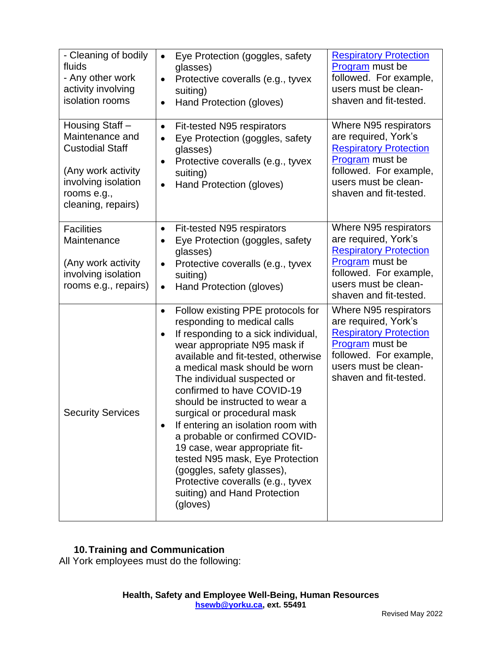| - Cleaning of bodily<br>fluids<br>- Any other work<br>activity involving<br>isolation rooms                                                    | Eye Protection (goggles, safety<br>$\bullet$<br>glasses)<br>Protective coveralls (e.g., tyvex<br>$\bullet$<br>suiting)<br>Hand Protection (gloves)<br>$\bullet$                                                                                                                                                                                                                                                                                                                                                                                                                                                                     | <b>Respiratory Protection</b><br>Program must be<br>followed. For example,<br>users must be clean-<br>shaven and fit-tested.                                                  |
|------------------------------------------------------------------------------------------------------------------------------------------------|-------------------------------------------------------------------------------------------------------------------------------------------------------------------------------------------------------------------------------------------------------------------------------------------------------------------------------------------------------------------------------------------------------------------------------------------------------------------------------------------------------------------------------------------------------------------------------------------------------------------------------------|-------------------------------------------------------------------------------------------------------------------------------------------------------------------------------|
| Housing Staff -<br>Maintenance and<br><b>Custodial Staff</b><br>(Any work activity<br>involving isolation<br>rooms e.g.,<br>cleaning, repairs) | Fit-tested N95 respirators<br>٠<br>Eye Protection (goggles, safety<br>$\bullet$<br>glasses)<br>Protective coveralls (e.g., tyvex<br>$\bullet$<br>suiting)<br>Hand Protection (gloves)<br>$\bullet$                                                                                                                                                                                                                                                                                                                                                                                                                                  | Where N95 respirators<br>are required, York's<br><b>Respiratory Protection</b><br>Program must be<br>followed. For example,<br>users must be clean-<br>shaven and fit-tested. |
| <b>Facilities</b><br>Maintenance<br>(Any work activity<br>involving isolation<br>rooms e.g., repairs)                                          | Fit-tested N95 respirators<br>٠<br>Eye Protection (goggles, safety<br>$\bullet$<br>glasses)<br>Protective coveralls (e.g., tyvex<br>٠<br>suiting)<br>Hand Protection (gloves)<br>$\bullet$                                                                                                                                                                                                                                                                                                                                                                                                                                          | Where N95 respirators<br>are required, York's<br><b>Respiratory Protection</b><br>Program must be<br>followed. For example,<br>users must be clean-<br>shaven and fit-tested. |
| <b>Security Services</b>                                                                                                                       | Follow existing PPE protocols for<br>$\bullet$<br>responding to medical calls<br>If responding to a sick individual,<br>$\bullet$<br>wear appropriate N95 mask if<br>available and fit-tested, otherwise<br>a medical mask should be worn<br>The individual suspected or<br>confirmed to have COVID-19<br>should be instructed to wear a<br>surgical or procedural mask<br>If entering an isolation room with<br>a probable or confirmed COVID-<br>19 case, wear appropriate fit-<br>tested N95 mask, Eye Protection<br>(goggles, safety glasses),<br>Protective coveralls (e.g., tyvex<br>suiting) and Hand Protection<br>(gloves) | Where N95 respirators<br>are required, York's<br><b>Respiratory Protection</b><br>Program must be<br>followed. For example,<br>users must be clean-<br>shaven and fit-tested. |

# **10.Training and Communication**

All York employees must do the following: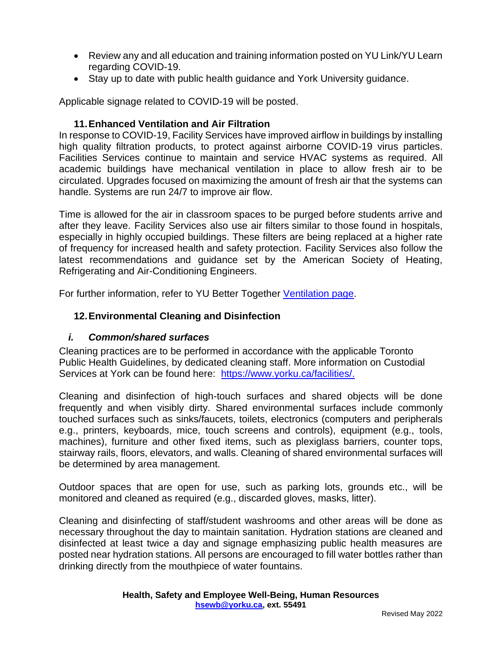- Review any and all education and training information posted on YU Link/YU Learn regarding COVID-19.
- Stay up to date with public health guidance and York University guidance.

Applicable signage related to COVID-19 will be posted.

## **11.Enhanced Ventilation and Air Filtration**

In response to COVID-19, Facility Services have improved airflow in buildings by installing high quality filtration products, to protect against airborne COVID-19 virus particles. Facilities Services continue to maintain and service HVAC systems as required. All academic buildings have mechanical ventilation in place to allow fresh air to be circulated. Upgrades focused on maximizing the amount of fresh air that the systems can handle. Systems are run 24/7 to improve air flow.

Time is allowed for the air in classroom spaces to be purged before students arrive and after they leave. Facility Services also use air filters similar to those found in hospitals, especially in highly occupied buildings. These filters are being replaced at a higher rate of frequency for increased health and safety protection. Facility Services also follow the latest recommendations and guidance set by the American Society of Heating, Refrigerating and Air-Conditioning Engineers.

For further information, refer to YU Better Together [Ventilation page.](https://www.yorku.ca/bettertogether/ventilation/)

# **12.Environmental Cleaning and Disinfection**

#### *i. Common/shared surfaces*

Cleaning practices are to be performed in accordance with the applicable Toronto Public Health Guidelines, by dedicated cleaning staff. More information on Custodial Services at York can be found here: [https://www.yorku.ca/facilities/.](https://www.yorku.ca/facilities/)

Cleaning and disinfection of high-touch surfaces and shared objects will be done frequently and when visibly dirty. Shared environmental surfaces include commonly touched surfaces such as sinks/faucets, toilets, electronics (computers and peripherals e.g., printers, keyboards, mice, touch screens and controls), equipment (e.g., tools, machines), furniture and other fixed items, such as plexiglass barriers, counter tops, stairway rails, floors, elevators, and walls. Cleaning of shared environmental surfaces will be determined by area management.

Outdoor spaces that are open for use, such as parking lots, grounds etc., will be monitored and cleaned as required (e.g., discarded gloves, masks, litter).

Cleaning and disinfecting of staff/student washrooms and other areas will be done as necessary throughout the day to maintain sanitation. Hydration stations are cleaned and disinfected at least twice a day and signage emphasizing public health measures are posted near hydration stations. All persons are encouraged to fill water bottles rather than drinking directly from the mouthpiece of water fountains.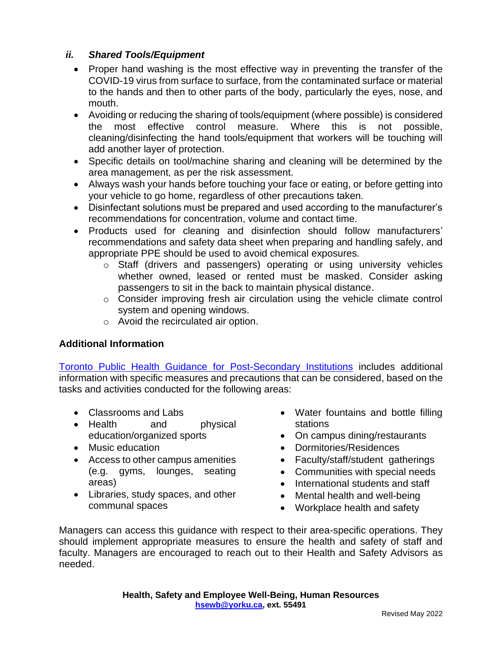## *ii. Shared Tools/Equipment*

- Proper hand washing is the most effective way in preventing the transfer of the COVID-19 virus from surface to surface, from the contaminated surface or material to the hands and then to other parts of the body, particularly the eyes, nose, and mouth.
- Avoiding or reducing the sharing of tools/equipment (where possible) is considered the most effective control measure. Where this is not possible, cleaning/disinfecting the hand tools/equipment that workers will be touching will add another layer of protection.
- Specific details on tool/machine sharing and cleaning will be determined by the area management, as per the risk assessment.
- Always wash your hands before touching your face or eating, or before getting into your vehicle to go home, regardless of other precautions taken.
- Disinfectant solutions must be prepared and used according to the manufacturer's recommendations for concentration, volume and contact time.
- Products used for cleaning and disinfection should follow manufacturers' recommendations and safety data sheet when preparing and handling safely, and appropriate PPE should be used to avoid chemical exposures.
	- o Staff (drivers and passengers) operating or using university vehicles whether owned, leased or rented must be masked. Consider asking passengers to sit in the back to maintain physical distance.
	- o Consider improving fresh air circulation using the vehicle climate control system and opening windows.
	- o Avoid the recirculated air option.

# **Additional Information**

[Toronto Public Health Guidance for Post-Secondary Institutions](https://www.toronto.ca/home/covid-19/covid-19-reopening-recovery-rebuild/covid-19-reopening-guidelines-for-businesses-organizations/covid-19-guidance-post-secondary-schools/) includes additional information with specific measures and precautions that can be considered, based on the tasks and activities conducted for the following areas:

- Classrooms and Labs
- Health and physical education/organized sports
- Music education
- Access to other campus amenities (e.g. gyms, lounges, seating areas)
- Libraries, study spaces, and other communal spaces
- Water fountains and bottle filling stations
- On campus dining/restaurants
- Dormitories/Residences
- Faculty/staff/student gatherings
- Communities with special needs
- International students and staff
- Mental health and well-being
- Workplace health and safety

Managers can access this guidance with respect to their area-specific operations. They should implement appropriate measures to ensure the health and safety of staff and faculty. Managers are encouraged to reach out to their Health and Safety Advisors as needed.